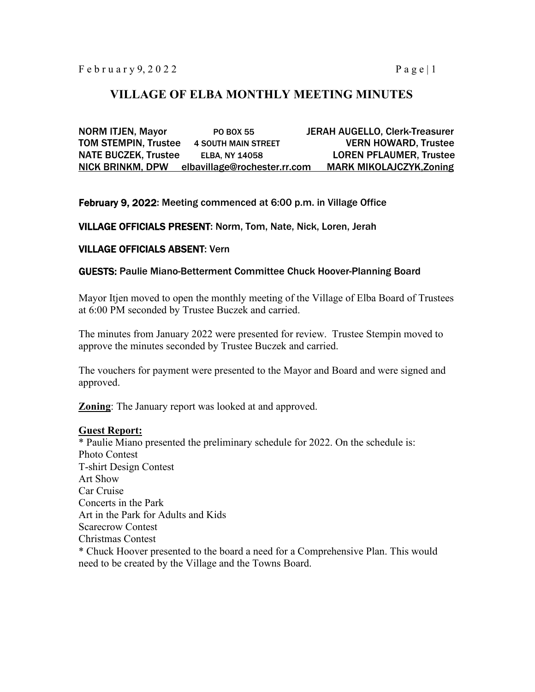# **VILLAGE OF ELBA MONTHLY MEETING MINUTES**

NORM ITJEN, Mayor PO BOX 55 JERAH AUGELLO, Clerk-Treasurer TOM STEMPIN, Trustee 4 SOUTH MAIN STREET VERN HOWARD, Trustee NATE BUCZEK, Trustee ELBA, NY 14058 LOREN PFLAUMER, Trustee NICK BRINKM, DPW elbavillage@rochester.rr.com MARK MIKOLAJCZYK,Zoning

February 9, 2022: Meeting commenced at 6:00 p.m. in Village Office

VILLAGE OFFICIALS PRESENT: Norm, Tom, Nate, Nick, Loren, Jerah

## VILLAGE OFFICIALS ABSENT: Vern

#### GUESTS: Paulie Miano-Betterment Committee Chuck Hoover-Planning Board

Mayor Itjen moved to open the monthly meeting of the Village of Elba Board of Trustees at 6:00 PM seconded by Trustee Buczek and carried.

The minutes from January 2022 were presented for review. Trustee Stempin moved to approve the minutes seconded by Trustee Buczek and carried.

The vouchers for payment were presented to the Mayor and Board and were signed and approved.

**Zoning**: The January report was looked at and approved.

### **Guest Report:**

\* Paulie Miano presented the preliminary schedule for 2022. On the schedule is: Photo Contest T-shirt Design Contest Art Show Car Cruise Concerts in the Park Art in the Park for Adults and Kids Scarecrow Contest Christmas Contest \* Chuck Hoover presented to the board a need for a Comprehensive Plan. This would need to be created by the Village and the Towns Board.